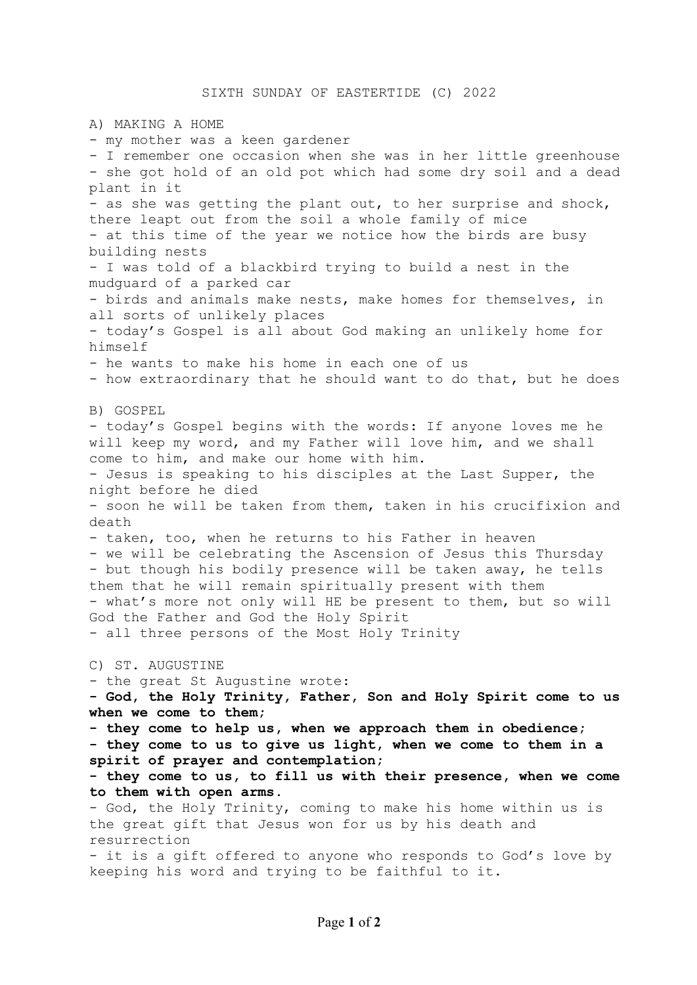A) MAKING A HOME - my mother was a keen gardener - I remember one occasion when she was in her little greenhouse - she got hold of an old pot which had some dry soil and a dead plant in it - as she was getting the plant out, to her surprise and shock, there leapt out from the soil a whole family of mice - at this time of the year we notice how the birds are busy building nests - I was told of a blackbird trying to build a nest in the mudguard of a parked car - birds and animals make nests, make homes for themselves, in all sorts of unlikely places - today's Gospel is all about God making an unlikely home for himself - he wants to make his home in each one of us - how extraordinary that he should want to do that, but he does B) GOSPEL - today's Gospel begins with the words: If anyone loves me he will keep my word, and my Father will love him, and we shall come to him, and make our home with him. - Jesus is speaking to his disciples at the Last Supper, the night before he died - soon he will be taken from them, taken in his crucifixion and death - taken, too, when he returns to his Father in heaven - we will be celebrating the Ascension of Jesus this Thursday - but though his bodily presence will be taken away, he tells them that he will remain spiritually present with them - what's more not only will HE be present to them, but so will God the Father and God the Holy Spirit - all three persons of the Most Holy Trinity C) ST. AUGUSTINE - the great St Augustine wrote: **- God, the Holy Trinity, Father, Son and Holy Spirit come to us when we come to them; - they come to help us, when we approach them in obedience; - they come to us to give us light, when we come to them in a spirit of prayer and contemplation; - they come to us, to fill us with their presence, when we come to them with open arms.** - God, the Holy Trinity, coming to make his home within us is the great gift that Jesus won for us by his death and resurrection - it is a gift offered to anyone who responds to God's love by keeping his word and trying to be faithful to it.